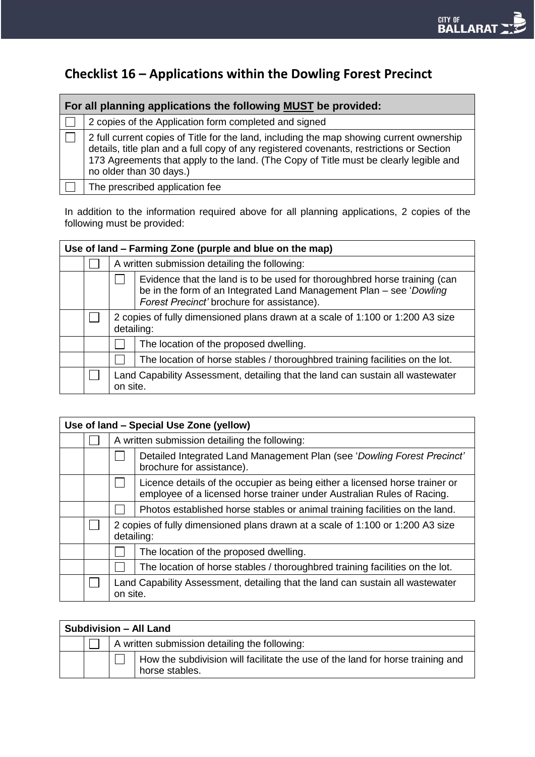# **Checklist 16 – Applications within the Dowling Forest Precinct**

| For all planning applications the following MUST be provided: |                                                                                                                                                                                                                                                                                                          |  |  |
|---------------------------------------------------------------|----------------------------------------------------------------------------------------------------------------------------------------------------------------------------------------------------------------------------------------------------------------------------------------------------------|--|--|
|                                                               | 2 copies of the Application form completed and signed                                                                                                                                                                                                                                                    |  |  |
|                                                               | 2 full current copies of Title for the land, including the map showing current ownership<br>details, title plan and a full copy of any registered covenants, restrictions or Section<br>173 Agreements that apply to the land. (The Copy of Title must be clearly legible and<br>no older than 30 days.) |  |  |
|                                                               | The prescribed application fee                                                                                                                                                                                                                                                                           |  |  |

In addition to the information required above for all planning applications, 2 copies of the following must be provided:

| Use of land – Farming Zone (purple and blue on the map) |  |                                                                                              |                                                                                                                                                                                                |  |
|---------------------------------------------------------|--|----------------------------------------------------------------------------------------------|------------------------------------------------------------------------------------------------------------------------------------------------------------------------------------------------|--|
|                                                         |  | A written submission detailing the following:                                                |                                                                                                                                                                                                |  |
|                                                         |  |                                                                                              | Evidence that the land is to be used for thoroughbred horse training (can<br>be in the form of an Integrated Land Management Plan - see 'Dowling<br>Forest Precinct' brochure for assistance). |  |
|                                                         |  | 2 copies of fully dimensioned plans drawn at a scale of 1:100 or 1:200 A3 size<br>detailing: |                                                                                                                                                                                                |  |
|                                                         |  |                                                                                              | The location of the proposed dwelling.                                                                                                                                                         |  |
|                                                         |  |                                                                                              | The location of horse stables / thoroughbred training facilities on the lot.                                                                                                                   |  |
|                                                         |  | on site.                                                                                     | Land Capability Assessment, detailing that the land can sustain all wastewater                                                                                                                 |  |

| Use of land - Special Use Zone (yellow) |  |          |                                                                                                                                                       |  |  |
|-----------------------------------------|--|----------|-------------------------------------------------------------------------------------------------------------------------------------------------------|--|--|
|                                         |  |          | A written submission detailing the following:                                                                                                         |  |  |
|                                         |  |          | Detailed Integrated Land Management Plan (see 'Dowling Forest Precinct'<br>brochure for assistance).                                                  |  |  |
|                                         |  |          | Licence details of the occupier as being either a licensed horse trainer or<br>employee of a licensed horse trainer under Australian Rules of Racing. |  |  |
|                                         |  |          | Photos established horse stables or animal training facilities on the land.                                                                           |  |  |
|                                         |  |          | 2 copies of fully dimensioned plans drawn at a scale of 1:100 or 1:200 A3 size<br>detailing:                                                          |  |  |
|                                         |  |          | The location of the proposed dwelling.                                                                                                                |  |  |
|                                         |  |          | The location of horse stables / thoroughbred training facilities on the lot.                                                                          |  |  |
|                                         |  | on site. | Land Capability Assessment, detailing that the land can sustain all wastewater                                                                        |  |  |

| <b>Subdivision - All Land</b> |  |                                               |                                                                                                  |
|-------------------------------|--|-----------------------------------------------|--------------------------------------------------------------------------------------------------|
|                               |  | A written submission detailing the following: |                                                                                                  |
|                               |  |                                               | How the subdivision will facilitate the use of the land for horse training and<br>horse stables. |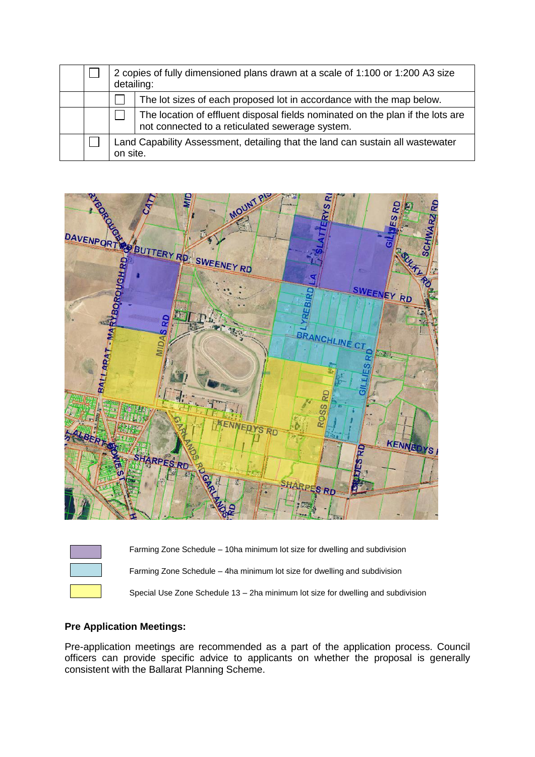|  | 2 copies of fully dimensioned plans drawn at a scale of 1:100 or 1:200 A3 size<br>detailing: |                                                                                                                                   |
|--|----------------------------------------------------------------------------------------------|-----------------------------------------------------------------------------------------------------------------------------------|
|  |                                                                                              | The lot sizes of each proposed lot in accordance with the map below.                                                              |
|  |                                                                                              | The location of effluent disposal fields nominated on the plan if the lots are<br>not connected to a reticulated sewerage system. |
|  | Land Capability Assessment, detailing that the land can sustain all wastewater<br>on site.   |                                                                                                                                   |



| Farming Zone Schedule – 10ha minimum lot size for dwelling and subdivision       |
|----------------------------------------------------------------------------------|
| Farming Zone Schedule – 4ha minimum lot size for dwelling and subdivision        |
| Special Use Zone Schedule 13 – 2ha minimum lot size for dwelling and subdivision |

## **Pre Application Meetings:**

Pre-application meetings are recommended as a part of the application process. Council officers can provide specific advice to applicants on whether the proposal is generally consistent with the Ballarat Planning Scheme.